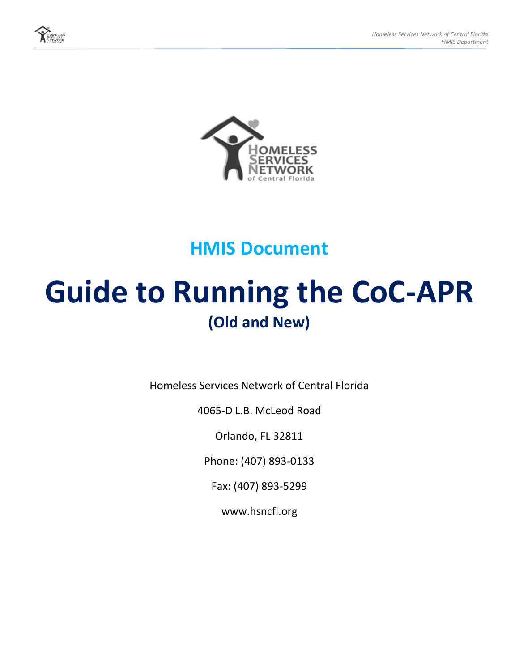



# **HMIS Document**

# **Guide to Running the CoC-APR (Old and New)**

Homeless Services Network of Central Florida

4065-D L.B. McLeod Road

Orlando, FL 32811

Phone: (407) 893-0133

Fax: (407) 893-5299

www.hsncfl.org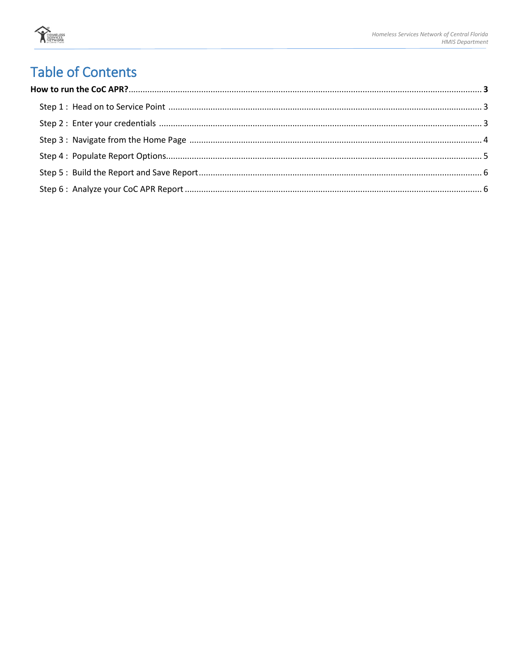

# **Table of Contents**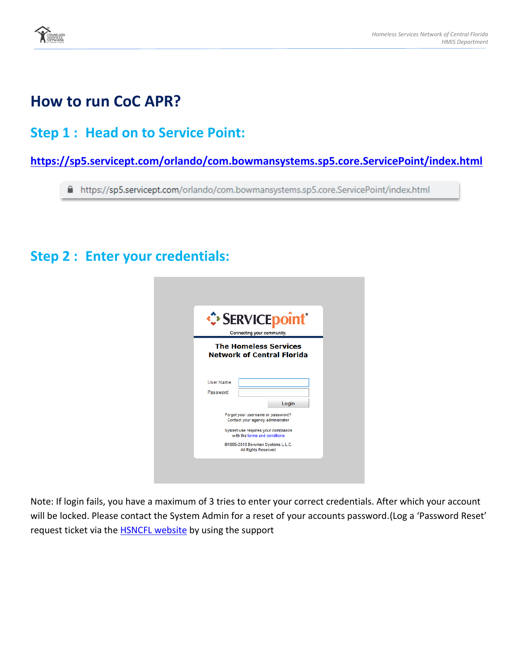

### **How to run CoC APR?**

### **Step 1 : Head on to Service Point:**

#### **<https://sp5.servicept.com/orlando/com.bowmansystems.sp5.core.ServicePoint/index.html>**

■ https://sp5.servicept.com/orlando/com.bowmansystems.sp5.core.ServicePoint/index.html

#### **Step 2 : Enter your credentials:**

|                              | Connecting your community.                                             | · SERVICE point® |
|------------------------------|------------------------------------------------------------------------|------------------|
|                              | <b>The Homeless Services</b><br><b>Network of Central Florida</b>      |                  |
| <b>User Name</b><br>Password |                                                                        |                  |
|                              |                                                                        | Login            |
|                              | Forgot your username or password?<br>Contact your agency administrator |                  |
|                              | System use requires your compliance<br>with the terms and conditions.  |                  |
|                              |                                                                        |                  |

Note: If login fails, you have a maximum of 3 tries to enter your correct credentials. After which your account will be locked. Please contact the System Admin for a reset of your accounts password.(Log a 'Password Reset' request ticket via the **HSNCFL website** by using the support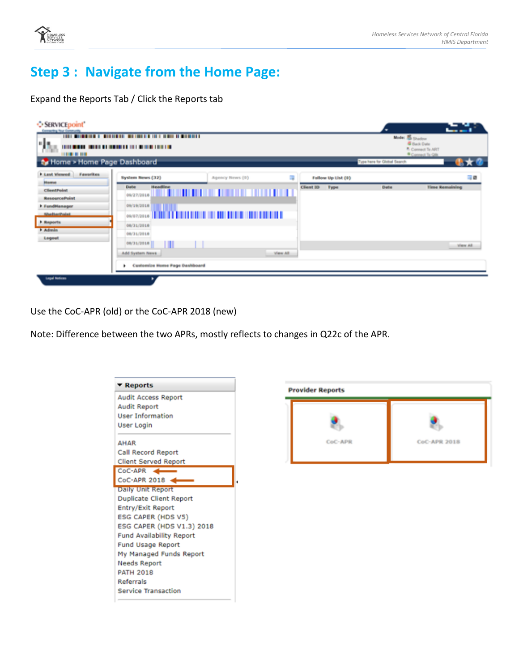

# **Step 3 : Navigate from the Home Page:**

Expand the Reports Tab / Click the Reports tab

| <b>O SERVICE point</b><br>Contracting That Galleriald<br>nja,<br><b><i><u><b>HILLER</b></u></i></b><br>ty Home > Home Page Dashboard | <u> 1911 - De Berger II, berger berger beste er beginner i bene beste beste er an der beste beste beste beste be</u><br>1910 BALLAS CHARLES BY HERE'S A 1911 BLOCK CHARLES |                                               |                           | Model & Shadow<br>Type here for Global Search. | الأسواد وبالمال<br><b>Gilbard Date</b><br><sup>8</sup> Connect To ART<br><sup>4</sup> Connect To Olk |
|--------------------------------------------------------------------------------------------------------------------------------------|----------------------------------------------------------------------------------------------------------------------------------------------------------------------------|-----------------------------------------------|---------------------------|------------------------------------------------|------------------------------------------------------------------------------------------------------|
| <b>b</b> Lead Weard<br><b>Reworlden</b><br><b>Home</b>                                                                               | System Henri (32)                                                                                                                                                          | Agency Hews (6)                               | R<br>Fallow Up List (8)   |                                                | 市場                                                                                                   |
| <b>Client Point</b><br><b>ResourcePoint</b>                                                                                          | Hoadling<br><b>Darks</b>                                                                                                                                                   | <b>Marshall of the Community of Community</b> | Client ID<br><b>Type:</b> | <b>Guita</b>                                   | <b>Firms Romadialing</b>                                                                             |
| h il undittanager.<br><b>Ricardian District</b>                                                                                      | 使新型新型商品館<br>09/07/2018                                                                                                                                                     |                                               |                           |                                                |                                                                                                      |
| <b>Bearing</b><br><b>F. Automins</b>                                                                                                 | 06/31/3918                                                                                                                                                                 |                                               |                           |                                                |                                                                                                      |
| Logarit                                                                                                                              | 06/31/3818<br>08/31/2018<br>Add System News                                                                                                                                |                                               | View All.                 |                                                | Were All.                                                                                            |
| Legal Notices                                                                                                                        | Customize Home Page Deshboard<br>P.                                                                                                                                        |                                               |                           |                                                |                                                                                                      |

Use the CoC-APR (old) or the CoC-APR 2018 (new)

Note: Difference between the two APRs, mostly reflects to changes in Q22c of the APR.

| - Reports                       |  |
|---------------------------------|--|
| <b>Audit Access Report</b>      |  |
| <b>Audit Report</b>             |  |
| <b>User Information</b>         |  |
| User Login                      |  |
| <b>AHAR</b>                     |  |
| Call Record Report              |  |
| <b>Client Served Report</b>     |  |
| CoC-APR                         |  |
| $CoC-APR$ 2018                  |  |
| Daily Unit Report               |  |
| <b>Duplicate Client Report</b>  |  |
| Entry/Exit Report               |  |
| ESG CAPER (HDS V5)              |  |
| ESG CAPER (HDS V1.3) 2018       |  |
| <b>Fund Availability Report</b> |  |
| <b>Fund Usage Report</b>        |  |
| My Managed Funds Report         |  |
| Needs Report                    |  |
| <b>PATH 2018</b>                |  |
| <b>Referrals</b>                |  |
| <b>Service Transaction</b>      |  |

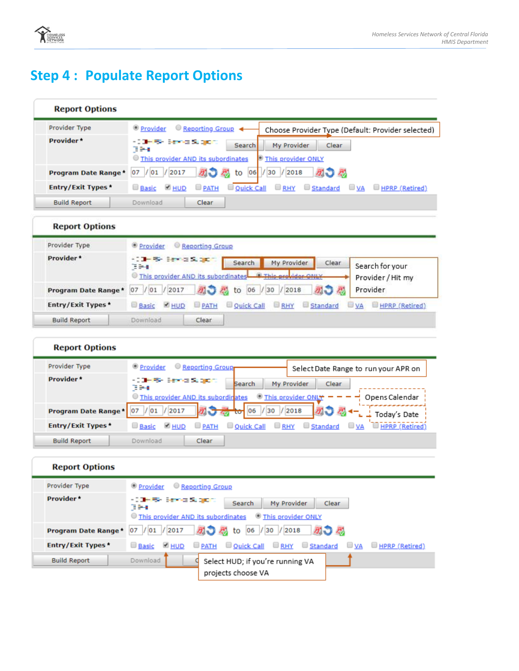

# **Step 4: Populate Report Options**

| <b>Report Options</b>    |                                                                                                                                          |
|--------------------------|------------------------------------------------------------------------------------------------------------------------------------------|
| Provider Type            | Reporting Group <<br><sup>®</sup> Provider<br>Choose Provider Type (Default: Provider selected)                                          |
| Provider*                | - Still-Rive Service Support<br><b>Search</b><br>My Provider<br>Clear<br>39.<br>This provider AND its subordinates<br>This provider ONLY |
| Program Date Range*      | あつ 恐 to<br>06<br>/30 / 2018<br>別つぶ<br>$/$ 01<br>/2017<br>07                                                                              |
| <b>Entry/Exit Types*</b> | <b>BRHY</b> Standard<br><b>PATH</b><br>Ouick Call<br>$\Box$ VA $\Box$ HPRP (Retired)<br><b>Basic PHUD</b>                                |
| <b>Build Report</b>      | Download<br>Clear                                                                                                                        |

#### **Report Options**

| Provider Type       | Provider Reporting Group                                                |             |                        |                                                  |          |                                      |
|---------------------|-------------------------------------------------------------------------|-------------|------------------------|--------------------------------------------------|----------|--------------------------------------|
| Provider*           | <b>KOMPRESSION SERVICE</b><br>394<br>This provider AND its subordinates |             | Search                 | My Provider<br><sup>(8)</sup> This are idea ONLY | Clear    | Search for your<br>Provider / Hit my |
| Program Date Range* | / 01 /2017<br>07                                                        |             | a) a to 06 / 30 / 2018 |                                                  | 別つあ      | Provider.                            |
| Entry/Exit Types*   | <b>M</b> HUD<br><b>Basic</b>                                            | <b>PATH</b> | Ouick Call             | <b>RHY</b>                                       | Standard | <b>HPRP</b> (Retired)<br><b>UVA</b>  |
| <b>Build Report</b> | Download                                                                | Clear       |                        |                                                  |          |                                      |

#### **Report Options**

| Provider Type            | Reporting Group<br><sup>®</sup> Provider<br>Select Date Range to run your APR on                                                                          |
|--------------------------|-----------------------------------------------------------------------------------------------------------------------------------------------------------|
| Provider*                | - Still-Riv Service Support<br>My Provider<br>Clear<br><b>Search</b><br>TH.<br>This provider ONLY<br>This provider AND its subordinates<br>Opens Calendar |
| Program Date Range*      | $\frac{1}{2018}$ 06 / 30 / 2018<br>あつ 恐 ー<br>/ 01<br>/2017<br>07<br>Today's Date                                                                          |
| <b>Entry/Exit Types*</b> | RHY<br><b>PATH</b><br>Ouick Call<br>Standard<br><b>U</b> VA<br><b>Basic</b><br><b>S</b> HUD<br><b>HPRP</b> (Retired)                                      |
| <b>Build Report</b>      | Download<br>Clear                                                                                                                                         |

#### **Report Options**

| Provider Type            | O Provider Reporting Group                                                                                                  |
|--------------------------|-----------------------------------------------------------------------------------------------------------------------------|
| Provider*                | - Still-Rivers on Support<br>Search<br>My Provider<br>Clear<br>TH.<br>This provider AND its subordinates This provider ONLY |
| Program Date Range*      | <mark>初● 忍</mark> to 06 / 30 / 2018<br>あつ ぷ<br>/ 01 / 2017<br>07                                                            |
| <b>Entry/Exit Types*</b> | <b>DE PATH DOUGH Call DE RHY DE Standard</b><br>Basic <b>DHUD</b><br>$\Box$ VA $\Box$ HPRP (Retired)                        |
| <b>Build Report</b>      | Download<br>Select HUD; if you're running VA                                                                                |
|                          | projects choose VA                                                                                                          |